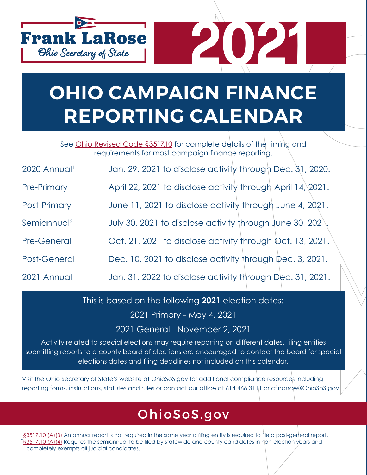

## **OHIO CAMPAIGN FINANCE REPORTING CALENDAR**

**2021**

See [Ohio Revised Code §3517.10](http://codes.ohio.gov/orc/3517.10v2) for complete details of the timing and requirements for most campaign finance reporting.

| 2020 Annual <sup>i</sup> | Jan. 29, 2021 to disclose activity through Dec. 31, 2020. |  |  |  |  |  |
|--------------------------|-----------------------------------------------------------|--|--|--|--|--|
|--------------------------|-----------------------------------------------------------|--|--|--|--|--|

- Pre-Primary **April 22, 2021 to disclose activity through April 14**, 2021.
- Post-Primary June 11, 2021 to disclose activity through June 4, 2021.
- Semiannual<sup>2</sup> July 30, 2021 to disclose activity through June 30, 2021.
- Pre-General Cct. 21, 2021 to disclose activity through Oct. 13, 2021.
- Post-General Dec. 10, 2021 to disclose activity through Dec. 3, 2021.
- 2021 Annual Jan. 31, 2022 to disclose activity through Dec. 31, 2021.

This is based on the following **2021** election dates:

2021 Primary - May 4, 2021

2021 General - November 2, 2021

Activity related to special elections may require reporting on different dates. Filing entities submitting reports to a county board of elections are encouraged to contact the board for special elections dates and filing deadlines not included on this calendar.

Visit the Ohio Secretary of State's website at OhioSoS.gov for additional compliance resources including reporting forms, instructions, statutes and rules or contact our office at 614.466.311 1 or cfinance@OhioSoS.gov.

### OhioSoS[.gov](http://www.ohiosos.gov)

<sup>1</sup>[§3517.10 \(A\)\(3\)](http://codes.ohio.gov/orc/3517.10v2) An annual report is not required in the same year a filing entity is required to file a post-general report.  $^2$ [§3517.10 \(A\)\(4\)](http://codes.ohio.gov/orc/3517.10v2) Requires the semiannual to be filed by statewide and county candidates in non-election years and completely exempts all judicial candidates.